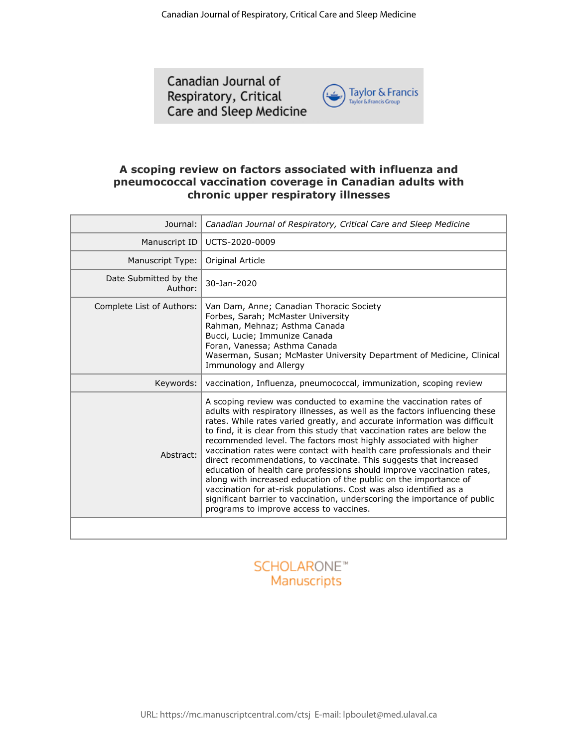Canadian Journal of Respiratory, Critical Care and Sleep Medicine



### **A scoping review on factors associated with influenza and pneumococcal vaccination coverage in Canadian adults with chronic upper respiratory illnesses**

| Journal:<br>Canadian Journal of Respiratory, Critical Care and Sleep Medicine                                                                                                                                                                                                                                     |                                                                                                                                                                                                                                                                                                                                                                                                                                                                                                                                                                                                                                                                                                                                                                                                                                                                                |  |
|-------------------------------------------------------------------------------------------------------------------------------------------------------------------------------------------------------------------------------------------------------------------------------------------------------------------|--------------------------------------------------------------------------------------------------------------------------------------------------------------------------------------------------------------------------------------------------------------------------------------------------------------------------------------------------------------------------------------------------------------------------------------------------------------------------------------------------------------------------------------------------------------------------------------------------------------------------------------------------------------------------------------------------------------------------------------------------------------------------------------------------------------------------------------------------------------------------------|--|
| Manuscript ID                                                                                                                                                                                                                                                                                                     | UCTS-2020-0009                                                                                                                                                                                                                                                                                                                                                                                                                                                                                                                                                                                                                                                                                                                                                                                                                                                                 |  |
| Manuscript Type:                                                                                                                                                                                                                                                                                                  | Original Article                                                                                                                                                                                                                                                                                                                                                                                                                                                                                                                                                                                                                                                                                                                                                                                                                                                               |  |
| Date Submitted by the<br>Author:                                                                                                                                                                                                                                                                                  | 30-Jan-2020                                                                                                                                                                                                                                                                                                                                                                                                                                                                                                                                                                                                                                                                                                                                                                                                                                                                    |  |
| Van Dam, Anne; Canadian Thoracic Society<br>Complete List of Authors:<br>Forbes, Sarah; McMaster University<br>Rahman, Mehnaz; Asthma Canada<br>Bucci, Lucie; Immunize Canada<br>Foran, Vanessa; Asthma Canada<br>Waserman, Susan; McMaster University Department of Medicine, Clinical<br>Immunology and Allergy |                                                                                                                                                                                                                                                                                                                                                                                                                                                                                                                                                                                                                                                                                                                                                                                                                                                                                |  |
| Keywords:                                                                                                                                                                                                                                                                                                         | vaccination, Influenza, pneumococcal, immunization, scoping review                                                                                                                                                                                                                                                                                                                                                                                                                                                                                                                                                                                                                                                                                                                                                                                                             |  |
| Abstract:                                                                                                                                                                                                                                                                                                         | A scoping review was conducted to examine the vaccination rates of<br>adults with respiratory illnesses, as well as the factors influencing these<br>rates. While rates varied greatly, and accurate information was difficult<br>to find, it is clear from this study that vaccination rates are below the<br>recommended level. The factors most highly associated with higher<br>vaccination rates were contact with health care professionals and their<br>direct recommendations, to vaccinate. This suggests that increased<br>education of health care professions should improve vaccination rates,<br>along with increased education of the public on the importance of<br>vaccination for at-risk populations. Cost was also identified as a<br>significant barrier to vaccination, underscoring the importance of public<br>programs to improve access to vaccines. |  |

# **SCHOLARONE™** Manuscripts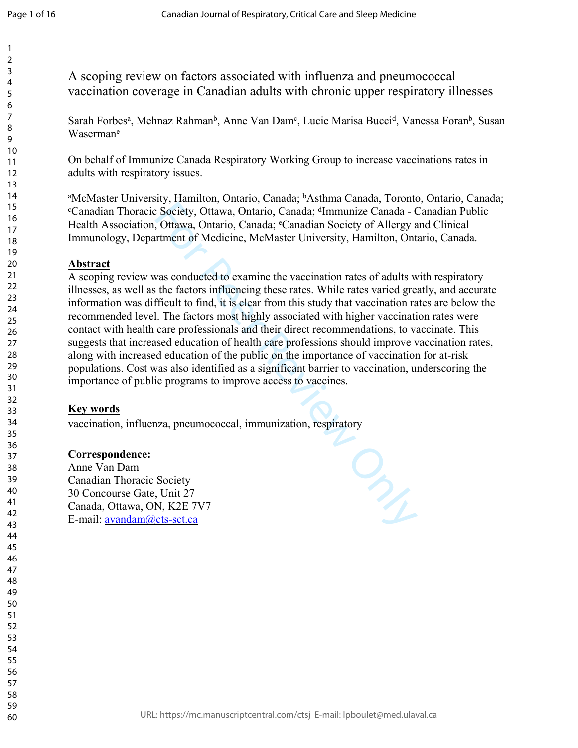A scoping review on factors associated with influenza and pneumococcal vaccination coverage in Canadian adults with chronic upper respiratory illnesses

Sarah Forbes<sup>a</sup>, Mehnaz Rahman<sup>b</sup>, Anne Van Dam<sup>c</sup>, Lucie Marisa Bucci<sup>d</sup>, Vanessa Foran<sup>b</sup>, Susan Waserman e

On behalf of Immunize Canada Respiratory Working Group to increase vaccinations rates in adults with respiratory issues.

aMcMaster University, Hamilton, Ontario, Canada; <sup>b</sup>Asthma Canada, Toronto, Ontario, Canada; <sup>c</sup>Canadian Thoracic Society, Ottawa, Ontario, Canada; <sup>d</sup>Immunize Canada - Canadian Public Health Association, Ottawa, Ontario, Canada; <sup>e</sup>Canadian Society of Allergy and Clinical Immunology, Department of Medicine, McMaster University, Hamilton, Ontario, Canada.

### **Abstract**

From Society, Ottawa, Ontario, Canada; <sup>d</sup>Immunize Canada - Gociety, Ottawa, Ontario, Canada; <sup>d</sup>Immunize Canada - Cottawa, Ontario, Canada; <sup>d</sup>Immunize Canada - Cottawa, Ontario, Canada; <sup>d</sup>Canadian Society of Allergy art A scoping review was conducted to examine the vaccination rates of adults with respiratory illnesses, as well as the factors influencing these rates. While rates varied greatly, and accurate information was difficult to find, it is clear from this study that vaccination rates are below the recommended level. The factors most highly associated with higher vaccination rates were contact with health care professionals and their direct recommendations, to vaccinate. This suggests that increased education of health care professions should improve vaccination rates, along with increased education of the public on the importance of vaccination for at-risk populations. Cost was also identified as a significant barrier to vaccination, underscoring the importance of public programs to improve access to vaccines.

## **Key words**

vaccination, influenza, pneumococcal, immunization, respiratory

## **Correspondence:**

Anne Van Dam Canadian Thoracic Society 30 Concourse Gate, Unit 27 Canada, Ottawa, ON, K2E 7V7 E-mail: [avandam@cts-sct.ca](mailto:avandam@cts-sct.ca)

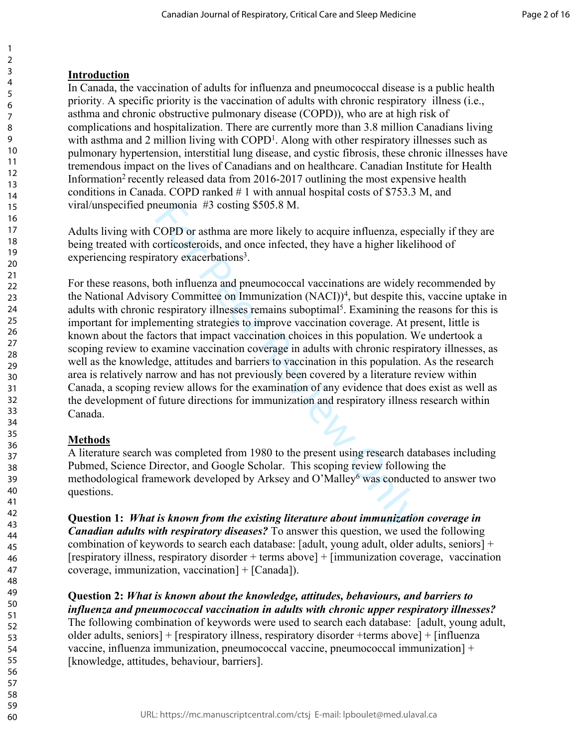## **Introduction**

123456789

 $\mathbf{1}$  $\overline{2}$ 3  $\overline{4}$ 5 6  $\overline{7}$ 8 9

In Canada, the vaccination of adults for influenza and pneumococcal disease is a public health priority. A specific priority is the vaccination of adults with chronic respiratory illness (i.e., asthma and chronic obstructive pulmonary disease (COPD)), who are at high risk of complications and hospitalization. There are currently more than 3.8 million Canadians living with asthma and 2 million living with COPD<sup>1</sup>. Along with other respiratory illnesses such as pulmonary hypertension, interstitial lung disease, and cystic fibrosis, these chronic illnesses have tremendous impact on the lives of Canadians and on healthcare. Canadian Institute for Health Information<sup>2</sup> recently released data from  $2016-2017$  outlining the most expensive health conditions in Canada. COPD ranked # 1 with annual hospital costs of \$753.3 M, and viral/unspecified pneumonia #3 costing \$505.8 M.

Adults living with COPD or asthma are more likely to acquire influenza, especially if they are being treated with corticosteroids, and once infected, they have a higher likelihood of experiencing respiratory exacerbations<sup>3</sup>.

neumonia #3 costing \$505.8 M.<br>COPD or asthma are more likely to acquire influenza, espectricosteroids, and once infected, they have a higher likeli<br>atory exacerbations<sup>3</sup>.<br>Dooth influenza and pneumococcal vaccinations are For these reasons, both influenza and pneumococcal vaccinations are widely recommended by the National Advisory Committee on Immunization (NACI)) 4 , but despite this, vaccine uptake in adults with chronic respiratory illnesses remains suboptimal<sup>5</sup>. Examining the reasons for this is important for implementing strategies to improve vaccination coverage. At present, little is known about the factors that impact vaccination choices in this population. We undertook a scoping review to examine vaccination coverage in adults with chronic respiratory illnesses, as well as the knowledge, attitudes and barriers to vaccination in this population. As the research area is relatively narrow and has not previously been covered by a literature review within Canada, a scoping review allows for the examination of any evidence that does exist as well as the development of future directions for immunization and respiratory illness research within Canada.

## **Methods**

A literature search was completed from 1980 to the present using research databases including Pubmed, Science Director, and Google Scholar. This scoping review following the methodological framework developed by Arksey and O'Malley<sup>6</sup> was conducted to answer two questions.

**Question 1:** *What is known from the existing literature about immunization coverage in Canadian adults with respiratory diseases?* To answer this question, we used the following combination of keywords to search each database: [adult, young adult, older adults, seniors] + [respiratory illness, respiratory disorder + terms above] + [immunization coverage, vaccination coverage, immunization, vaccination] + [Canada]).

**Question 2:** *What is known about the knowledge, attitudes, behaviours, and barriers to influenza and pneumococcal vaccination in adults with chronic upper respiratory illnesses?*

The following combination of keywords were used to search each database: [adult, young adult, older adults, seniors] + [respiratory illness, respiratory disorder +terms above] + [influenza vaccine, influenza immunization, pneumococcal vaccine, pneumococcal immunization] + [knowledge, attitudes, behaviour, barriers].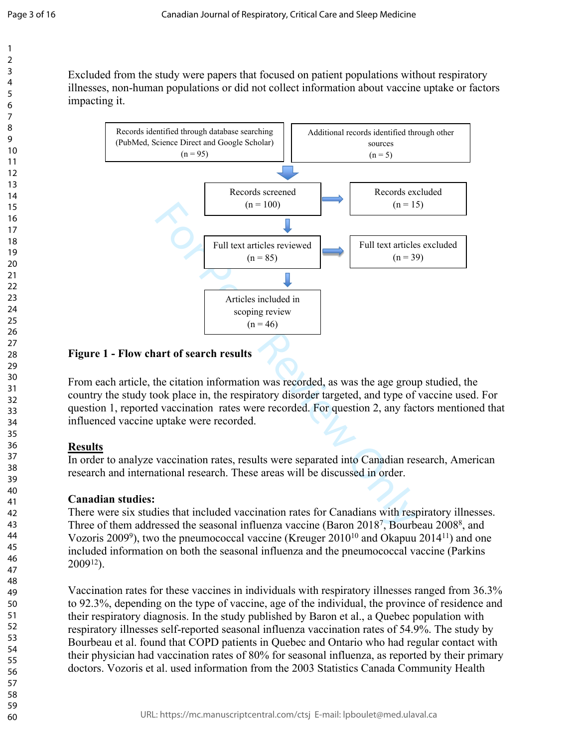Excluded from the study were papers that focused on patient populations without respiratory illnesses, non-human populations or did not collect information about vaccine uptake or factors impacting it.



### **Figure 1 - Flow chart of search results**

From each article, the citation information was recorded, as was the age group studied, the country the study took place in, the respiratory disorder targeted, and type of vaccine used. For question 1, reported vaccination rates were recorded. For question 2, any factors mentioned that influenced vaccine uptake were recorded.

## **Results**

In order to analyze vaccination rates, results were separated into Canadian research, American research and international research. These areas will be discussed in order.

## **Canadian studies:**

There were six studies that included vaccination rates for Canadians with respiratory illnesses. Three of them addressed the seasonal influenza vaccine (Baron 2018<sup>7</sup>, Bourbeau 2008<sup>8</sup>, and Vozoris 2009<sup>9</sup>), two the pneumococcal vaccine (Kreuger 2010<sup>10</sup> and Okapuu 2014<sup>11</sup>) and one included information on both the seasonal influenza and the pneumococcal vaccine (Parkins  $2009^{12}$ ).

Vaccination rates for these vaccines in individuals with respiratory illnesses ranged from 36.3% to 92.3%, depending on the type of vaccine, age of the individual, the province of residence and their respiratory diagnosis. In the study published by Baron et al., a Quebec population with respiratory illnesses self-reported seasonal influenza vaccination rates of 54.9%. The study by Bourbeau et al. found that COPD patients in Quebec and Ontario who had regular contact with their physician had vaccination rates of 80% for seasonal influenza, as reported by their primary doctors. Vozoris et al. used information from the 2003 Statistics Canada Community Health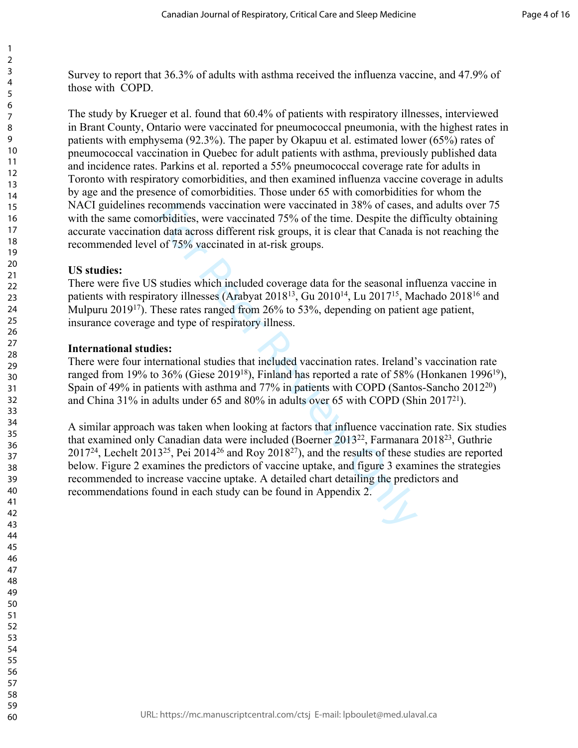Survey to report that 36.3% of adults with asthma received the influenza vaccine, and 47.9% of those with COPD.

The study by Krueger et al. found that 60.4% of patients with respiratory illnesses, interviewed in Brant County, Ontario were vaccinated for pneumococcal pneumonia, with the highest rates in patients with emphysema (92.3%). The paper by Okapuu et al. estimated lower (65%) rates of pneumococcal vaccination in Quebec for adult patients with asthma, previously published data and incidence rates. Parkins et al. reported a 55% pneumococcal coverage rate for adults in Toronto with respiratory comorbidities, and then examined influenza vaccine coverage in adults by age and the presence of comorbidities. Those under 65 with comorbidities for whom the NACI guidelines recommends vaccination were vaccinated in 38% of cases, and adults over 75 with the same comorbidities, were vaccinated 75% of the time. Despite the difficulty obtaining accurate vaccination data across different risk groups, it is clear that Canada is not reaching the recommended level of 75% vaccinated in at-risk groups.

#### **US studies:**

 $\mathbf{1}$  $\overline{2}$  $\overline{4}$  $\overline{7}$ 

There were five US studies which included coverage data for the seasonal influenza vaccine in patients with respiratory illnesses (Arabyat 2018<sup>13</sup>, Gu 2010<sup>14</sup>, Lu 2017<sup>15</sup>, Machado 2018<sup>16</sup> and Mulpuru 2019<sup>17</sup>). These rates ranged from 26% to 53%, depending on patient age patient, insurance coverage and type of respiratory illness.

#### **International studies:**

There were four international studies that included vaccination rates. Ireland's vaccination rate ranged from 19% to 36% (Giese 2019<sup>18</sup>), Finland has reported a rate of 58% (Honkanen 1996<sup>19</sup>), Spain of 49% in patients with asthma and 77% in patients with COPD (Santos-Sancho 2012<sup>20</sup>) and China 31% in adults under 65 and 80% in adults over 65 with COPD (Shin 2017<sup>21</sup>).

commends vaccination were vaccinated in 38% of cases, invidities, were vaccinated 75% of the time. Despite the din data across different risk groups, it is clear that Canada i of 75% vaccinated in at-risk groups.<br>
Studies A similar approach was taken when looking at factors that influence vaccination rate. Six studies that examined only Canadian data were included (Boerner 2013<sup>22</sup>, Farmanara 2018<sup>23</sup>, Guthrie <sup>24</sup>, Lechelt 2013<sup>25</sup>, Pei 2014<sup>26</sup> and Roy 2018<sup>27</sup>), and the results of these studies are reported below. Figure 2 examines the predictors of vaccine uptake, and figure 3 examines the strategies recommended to increase vaccine uptake. A detailed chart detailing the predictors and recommendations found in each study can be found in Appendix 2.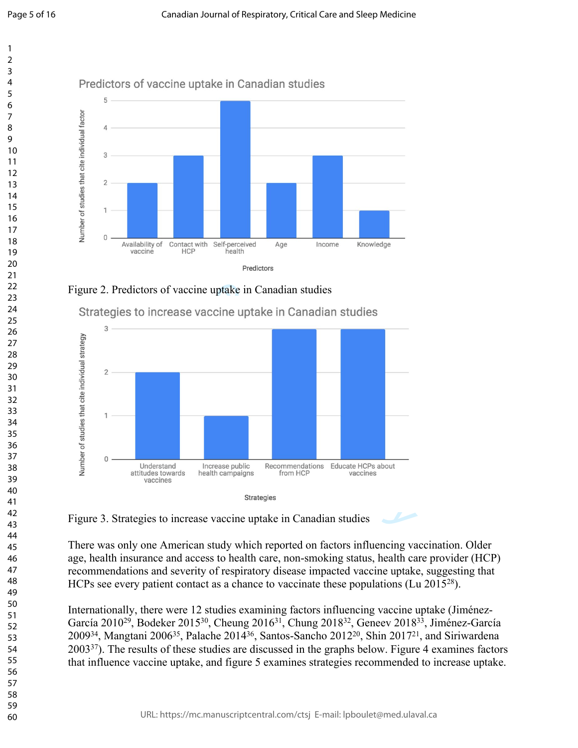



Figure 2. Predictors of vaccine uptake in Canadian studies





Figure 3. Strategies to increase vaccine uptake in Canadian studies

There was only one American study which reported on factors influencing vaccination. Older age, health insurance and access to health care, non-smoking status, health care provider (HCP) recommendations and severity of respiratory disease impacted vaccine uptake, suggesting that HCPs see every patient contact as a chance to vaccinate these populations (Lu 2015<sup>28</sup>).

Internationally, there were 12 studies examining factors influencing vaccine uptake (Jiménez-García 2010<sup>29</sup>, Bodeker 2015<sup>30</sup>, Cheung 2016<sup>31</sup>, Chung 2018<sup>32</sup>, Geneev 2018<sup>33</sup>, Jiménez-García <sup>34</sup>, Mangtani 2006<sup>35</sup>, Palache 2014<sup>36</sup>, Santos-Sancho 2012<sup>20</sup>, Shin 2017<sup>21</sup>, and Siriwardena <sup>37</sup>). The results of these studies are discussed in the graphs below. Figure 4 examines factors that influence vaccine uptake, and figure 5 examines strategies recommended to increase uptake.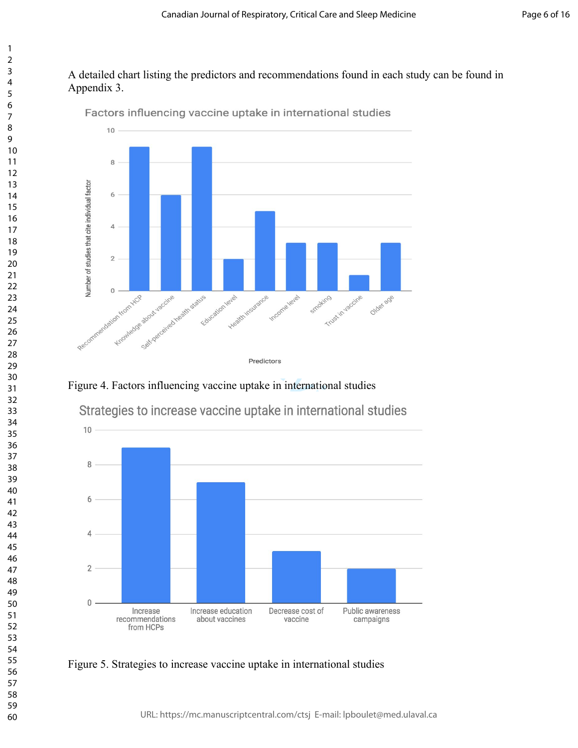### A detailed chart listing the predictors and recommendations found in each study can be found in Appendix 3.



Factors influencing vaccine uptake in international studies

Figure 4. Factors influencing vaccine uptake in international studies



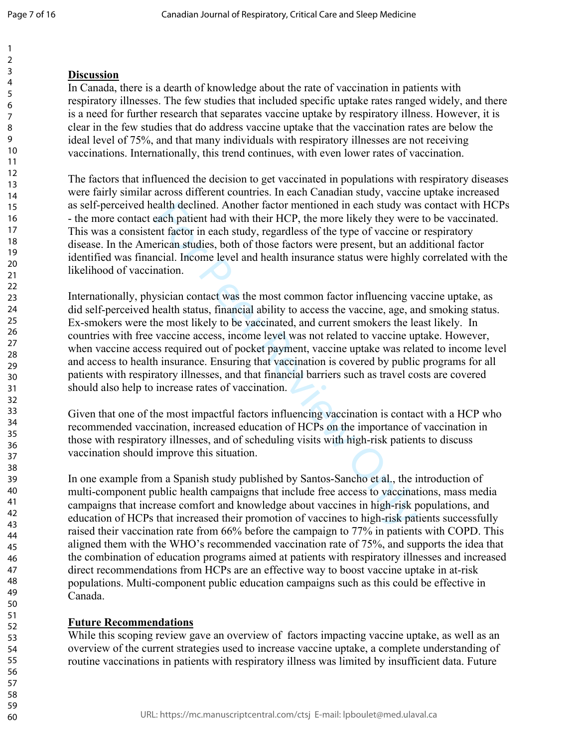### **Discussion**

In Canada, there is a dearth of knowledge about the rate of vaccination in patients with respiratory illnesses. The few studies that included specific uptake rates ranged widely, and there is a need for further research that separates vaccine uptake by respiratory illness. However, it is clear in the few studies that do address vaccine uptake that the vaccination rates are below the ideal level of 75%, and that many individuals with respiratory illnesses are not receiving vaccinations. Internationally, this trend continues, with even lower rates of vaccination.

The factors that influenced the decision to get vaccinated in populations with respiratory diseases were fairly similar across different countries. In each Canadian study, vaccine uptake increased as self-perceived health declined. Another factor mentioned in each study was contact with HCPs - the more contact each patient had with their HCP, the more likely they were to be vaccinated. This was a consistent factor in each study, regardless of the type of vaccine or respiratory disease. In the American studies, both of those factors were present, but an additional factor identified was financial. Income level and health insurance status were highly correlated with the likelihood of vaccination.

each patient had with their HCP, the more likely they were<br>ach patient had with their HCP, the more likely they twere<br>entifactor in each study, regardless of the type of vaccine o<br>rician studies, both of those factors were Internationally, physician contact was the most common factor influencing vaccine uptake, as did self-perceived health status, financial ability to access the vaccine, age, and smoking status. Ex-smokers were the most likely to be vaccinated, and current smokers the least likely. In countries with free vaccine access, income level was not related to vaccine uptake. However, when vaccine access required out of pocket payment, vaccine uptake was related to income level and access to health insurance. Ensuring that vaccination is covered by public programs for all patients with respiratory illnesses, and that financial barriers such as travel costs are covered should also help to increase rates of vaccination.

Given that one of the most impactful factors influencing vaccination is contact with a HCP who recommended vaccination, increased education of HCPs on the importance of vaccination in those with respiratory illnesses, and of scheduling visits with high-risk patients to discuss vaccination should improve this situation.

In one example from a Spanish study published by Santos-Sancho et al., the introduction of multi-component public health campaigns that include free access to vaccinations, mass media campaigns that increase comfort and knowledge about vaccines in high-risk populations, and education of HCPs that increased their promotion of vaccines to high-risk patients successfully raised their vaccination rate from 66% before the campaign to 77% in patients with COPD. This aligned them with the WHO's recommended vaccination rate of 75%, and supports the idea that the combination of education programs aimed at patients with respiratory illnesses and increased direct recommendations from HCPs are an effective way to boost vaccine uptake in at-risk populations. Multi-component public education campaigns such as this could be effective in Canada.

## **Future Recommendations**

While this scoping review gave an overview of factors impacting vaccine uptake, as well as an overview of the current strategies used to increase vaccine uptake, a complete understanding of routine vaccinations in patients with respiratory illness was limited by insufficient data. Future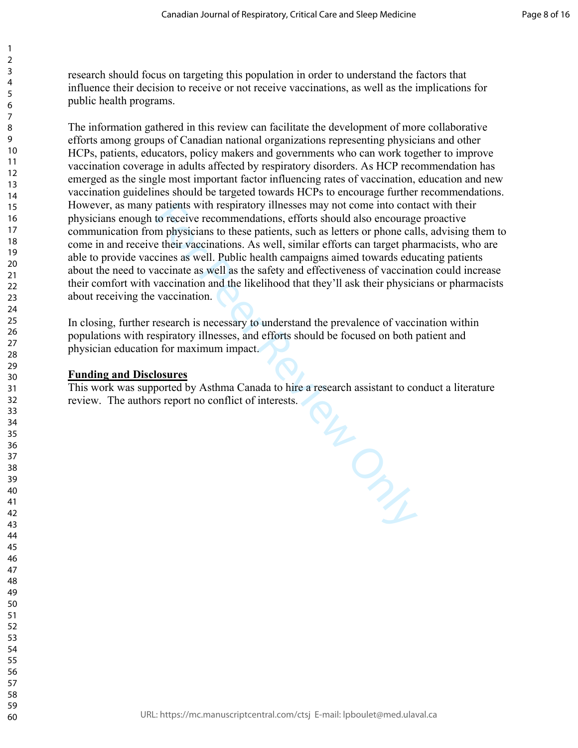research should focus on targeting this population in order to understand the factors that influence their decision to receive or not receive vaccinations, as well as the implications for public health programs.

The information gathered in this review can facilitate the development of more collaborative efforts among groups of Canadian national organizations representing physicians and other HCPs, patients, educators, policy makers and governments who can work together to improve vaccination coverage in adults affected by respiratory disorders. As HCP recommendation has emerged as the single most important factor influencing rates of vaccination, education and new vaccination guidelines should be targeted towards HCPs to encourage further recommendations. However, as many patients with respiratory illnesses may not come into contact with their physicians enough to receive recommendations, efforts should also encourage proactive communication from physicians to these patients, such as letters or phone calls, advising them to come in and receive their vaccinations. As well, similar efforts can target pharmacists, who are able to provide vaccines as well. Public health campaigns aimed towards educating patients about the need to vaccinate as well as the safety and effectiveness of vaccination could increase their comfort with vaccination and the likelihood that they'll ask their physicians or pharmacists about receiving the vaccination.

In closing, further research is necessary to understand the prevalence of vaccination within populations with respiratory illnesses, and efforts should be focused on both patient and physician education for maximum impact.

#### **Funding and Disclosures**

 $\mathbf{1}$  $\overline{2}$  $\overline{4}$  $\overline{7}$ 

For Peer Review Only This work was supported by Asthma Canada to hire a research assistant to conduct a literature review. The authors report no conflict of interests.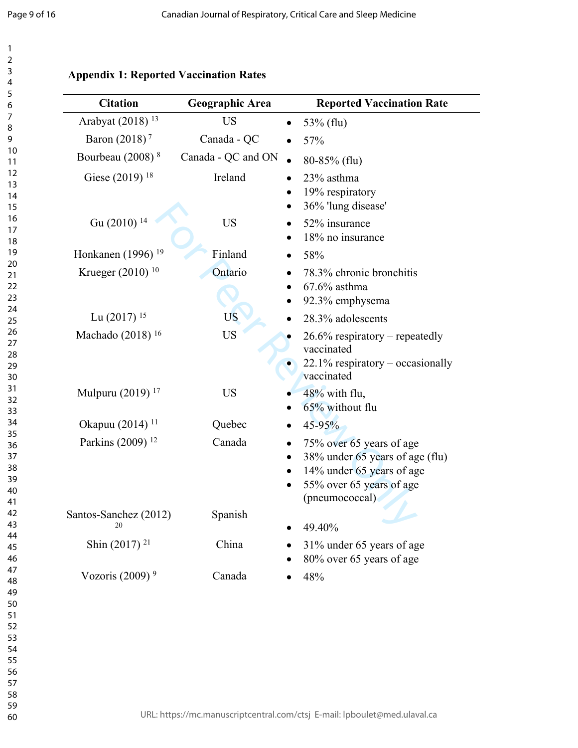$\mathbf{1}$  $\overline{2}$ 3 4 5

## **Appendix 1: Reported Vaccination Rates**

| <b>Citation</b>               | Geographic Area    | <b>Reported Vaccination Rate</b>                                                                                                                    |
|-------------------------------|--------------------|-----------------------------------------------------------------------------------------------------------------------------------------------------|
| Arabyat (2018) <sup>13</sup>  | <b>US</b>          | 53% (flu)<br>$\bullet$                                                                                                                              |
| Baron (2018) <sup>7</sup>     | Canada - QC        | 57%                                                                                                                                                 |
| Bourbeau (2008) <sup>8</sup>  | Canada - QC and ON | $80-85\%$ (flu)                                                                                                                                     |
| Giese (2019) <sup>18</sup>    | Ireland            | 23% asthma<br>19% respiratory<br>36% 'lung disease'                                                                                                 |
| Gu (2010) <sup>14</sup>       | <b>US</b>          | 52% insurance<br>18% no insurance                                                                                                                   |
| Honkanen (1996) <sup>19</sup> | Finland            | 58%                                                                                                                                                 |
| Krueger (2010) <sup>10</sup>  | Ontario            | 78.3% chronic bronchitis<br>$67.6\%$ asthma<br>92.3% emphysema                                                                                      |
| Lu $(2017)$ <sup>15</sup>     | <b>US</b>          | 28.3% adolescents                                                                                                                                   |
| Machado (2018) <sup>16</sup>  | <b>US</b>          | $26.6\%$ respiratory – repeatedly<br>vaccinated<br>$22.1\%$ respiratory – occasionally<br>vaccinated                                                |
| Mulpuru (2019) <sup>17</sup>  | <b>US</b>          | 48% with flu,<br>65% without flu                                                                                                                    |
| Okapuu (2014) <sup>11</sup>   | Quebec             | 45-95%                                                                                                                                              |
| Parkins (2009) <sup>12</sup>  | Canada             | 75% over 65 years of age<br>38% under 65 years of age (flu)<br>14% under 65 years of age<br>55% over 65 years of age<br>$\bullet$<br>(pneumococcal) |
| Santos-Sanchez (2012)<br>20   | Spanish            | 49.40%                                                                                                                                              |
| Shin $(2017)$ <sup>21</sup>   | China              | 31% under 65 years of age<br>80% over 65 years of age                                                                                               |
| Vozoris $(2009)^9$            | Canada             | 48%                                                                                                                                                 |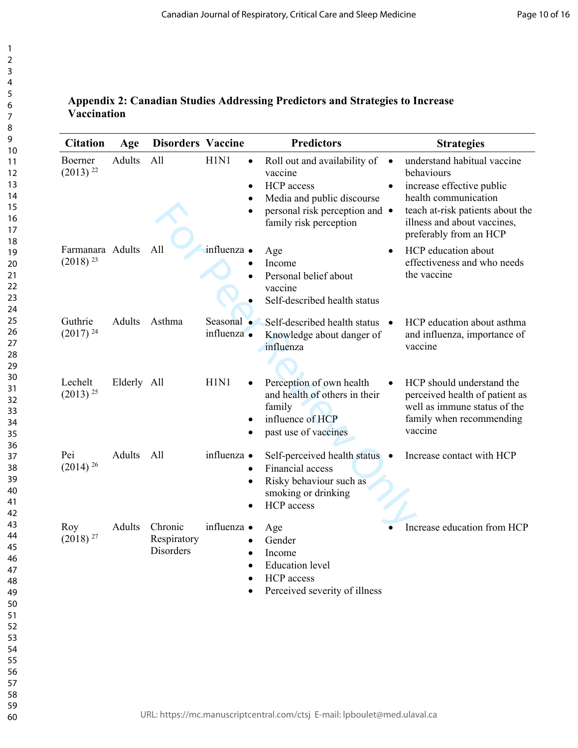## **Appendix 2: Canadian Studies Addressing Predictors and Strategies to Increase Vaccination**

|               |                                     | <b>Disorders Vaccine</b>         | <b>Predictors</b>                                                                                                                               | <b>Strategies</b>                                                                                                                                                                                        |
|---------------|-------------------------------------|----------------------------------|-------------------------------------------------------------------------------------------------------------------------------------------------|----------------------------------------------------------------------------------------------------------------------------------------------------------------------------------------------------------|
| Adults        | All                                 | H1N1<br>$\bullet$<br>٠<br>٠<br>٠ | Roll out and availability of<br>vaccine<br>HCP access<br>Media and public discourse<br>personal risk perception and •<br>family risk perception | understand habitual vaccine<br>$\bullet$<br>behaviours<br>increase effective public<br>health communication<br>teach at-risk patients about the<br>illness and about vaccines,<br>preferably from an HCP |
|               | All                                 | influenza ·                      | Age<br>Income<br>Personal belief about<br>vaccine<br>Self-described health status                                                               | HCP education about<br>$\bullet$<br>effectiveness and who needs<br>the vaccine                                                                                                                           |
| Adults        | Asthma                              | Seasonal •<br>influenza ·        | Self-described health status •<br>Knowledge about danger of<br>influenza                                                                        | HCP education about asthma<br>and influenza, importance of<br>vaccine                                                                                                                                    |
|               |                                     | H1N1                             | Perception of own health<br>and health of others in their<br>family<br>influence of HCP<br>past use of vaccines                                 | HCP should understand the<br>perceived health of patient as<br>well as immune status of the<br>family when recommending<br>vaccine                                                                       |
| Adults        | All                                 | influenza ·                      | Self-perceived health status •<br>Financial access<br>Risky behaviour such as<br>smoking or drinking<br><b>HCP</b> access                       | Increase contact with HCP                                                                                                                                                                                |
| <b>Adults</b> | Chronic<br>Respiratory<br>Disorders | influenza •<br>٠                 | Age<br>Gender<br>Income<br><b>Education</b> level<br>HCP access<br>Perceived severity of illness                                                | Increase education from HCP                                                                                                                                                                              |
|               | Farmanara Adults                    | Elderly All                      |                                                                                                                                                 |                                                                                                                                                                                                          |

 $\mathbf{1}$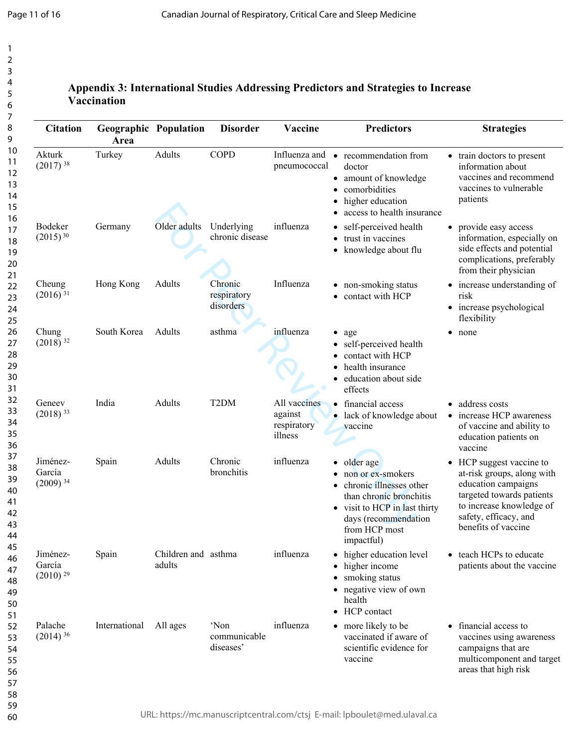## **Appendix 3: International Studies Addressing Predictors and Strategies to Increase Vaccination**

| <b>Citation</b>                              | <b>Geographic Population</b><br>Area |                               | <b>Disorder</b>                     | Vaccine                                           | <b>Predictors</b>                                                                                                                                                                | <b>Strategies</b>                                                                                                                                                                                 |
|----------------------------------------------|--------------------------------------|-------------------------------|-------------------------------------|---------------------------------------------------|----------------------------------------------------------------------------------------------------------------------------------------------------------------------------------|---------------------------------------------------------------------------------------------------------------------------------------------------------------------------------------------------|
| Akturk<br>$(2017)$ <sup>38</sup>             | Turkey                               | Adults                        | <b>COPD</b>                         | pneumococcal                                      | Influenza and • recommendation from<br>doctor<br>• amount of knowledge<br>• comorbidities<br>higher education<br>access to health insurance                                      | • train doctors to present<br>information about<br>vaccines and recommend<br>vaccines to vulnerable<br>patients                                                                                   |
| Bodeker<br>$(2015)^{30}$                     | Germany                              | Older adults                  | Underlying<br>chronic disease       | influenza                                         | • self-perceived health<br>trust in vaccines<br>knowledge about flu                                                                                                              | provide easy access<br>$\bullet$<br>information, especially on<br>side effects and potential<br>complications, preferably<br>from their physician                                                 |
| Cheung<br>$(2016)^{31}$                      | Hong Kong                            | Adults                        | Chronic<br>respiratory<br>disorders | Influenza                                         | • non-smoking status<br>contact with HCP                                                                                                                                         | increase understanding of<br>risk<br>increase psychological<br>flexibility                                                                                                                        |
| Chung<br>$(2018)^{32}$                       | South Korea                          | Adults                        | asthma                              | influenza                                         | age<br>$\bullet$<br>• self-perceived health<br>contact with HCP<br>health insurance<br>education about side<br>effects                                                           | none                                                                                                                                                                                              |
| Geneev<br>$(2018)$ <sup>33</sup>             | India                                | Adults                        | T <sub>2</sub> DM                   | All vaccines<br>against<br>respiratory<br>illness | • financial access<br>· lack of knowledge about<br>vaccine                                                                                                                       | • address costs<br>increase HCP awareness<br>$\bullet$<br>of vaccine and ability to<br>education patients on<br>vaccine                                                                           |
| Jiménez-<br>García<br>$(2009)^{34}$          | Spain                                | Adults                        | Chronic<br>bronchitis               | influenza                                         | • older age<br>• non or ex-smokers<br>chronic illnesses other<br>than chronic bronchitis<br>• visit to HCP in last thirty<br>days (recommendation<br>from HCP most<br>impactful) | HCP suggest vaccine to<br>$\bullet$<br>at-risk groups, along with<br>education campaigns<br>targeted towards patients<br>to increase knowledge of<br>safety, efficacy, and<br>benefits of vaccine |
| Jiménez-<br>García<br>$(2010)$ <sup>29</sup> | Spain                                | Children and asthma<br>adults |                                     | influenza                                         | • higher education level<br>• higher income<br>• smoking status<br>• negative view of own<br>health<br>• HCP contact                                                             | • teach HCPs to educate<br>patients about the vaccine                                                                                                                                             |
| Palache<br>$(2014)^{36}$                     | International                        | All ages                      | 'Non<br>communicable<br>diseases'   | influenza                                         | • more likely to be<br>vaccinated if aware of<br>scientific evidence for<br>vaccine                                                                                              | • financial access to<br>vaccines using awareness<br>campaigns that are<br>multicomponent and target<br>areas that high risk                                                                      |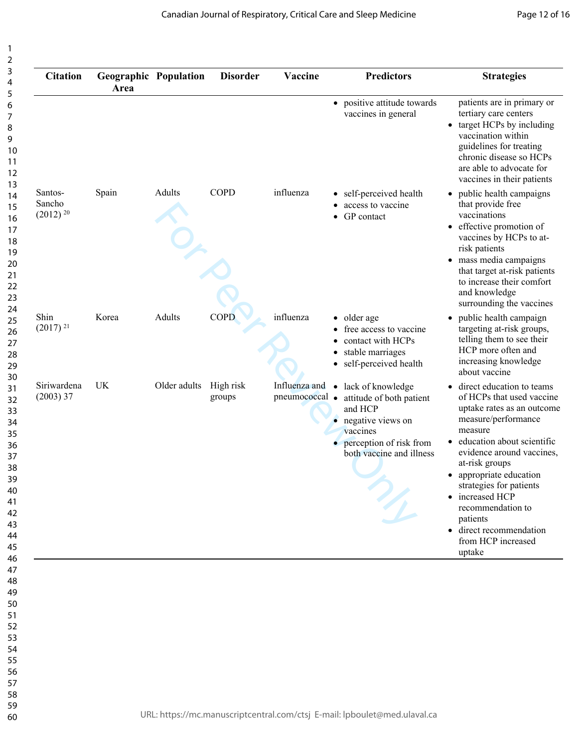| <b>Citation</b>                             | <b>Geographic Population</b><br>Area |              | <b>Disorder</b>     | Vaccine                         | <b>Predictors</b>                                                                                                                                                            | <b>Strategies</b>                                                                                                                                                                                                                                                                                                                                                                                  |
|---------------------------------------------|--------------------------------------|--------------|---------------------|---------------------------------|------------------------------------------------------------------------------------------------------------------------------------------------------------------------------|----------------------------------------------------------------------------------------------------------------------------------------------------------------------------------------------------------------------------------------------------------------------------------------------------------------------------------------------------------------------------------------------------|
|                                             |                                      |              |                     |                                 | • positive attitude towards<br>vaccines in general                                                                                                                           | patients are in primary or<br>tertiary care centers<br>target HCPs by including<br>vaccination within<br>guidelines for treating<br>chronic disease so HCPs<br>are able to advocate for<br>vaccines in their patients                                                                                                                                                                              |
| Santos-<br>Sancho<br>$(2012)$ <sup>20</sup> | Spain                                | Adults       | <b>COPD</b>         | influenza                       | self-perceived health<br>$\bullet$<br>access to vaccine<br>GP contact                                                                                                        | • public health campaigns<br>that provide free<br>vaccinations<br>• effective promotion of<br>vaccines by HCPs to at-<br>risk patients<br>• mass media campaigns<br>that target at-risk patients<br>to increase their comfort<br>and knowledge<br>surrounding the vaccines                                                                                                                         |
| Shin<br>$(2017)$ <sup>21</sup>              | Korea                                | Adults       | <b>COPD</b>         | influenza                       | • older age<br>free access to vaccine<br>contact with HCPs<br>stable marriages<br>self-perceived health                                                                      | public health campaign<br>$\bullet$<br>targeting at-risk groups,<br>telling them to see their<br>HCP more often and<br>increasing knowledge<br>about vaccine                                                                                                                                                                                                                                       |
| Siriwardena<br>$(2003)$ 37                  | UK                                   | Older adults | High risk<br>groups | Influenza and<br>pneumococcal • | lack of knowledge<br>$\bullet$<br>attitude of both patient<br>and HCP<br>negative views on<br>٠<br>vaccines<br>$\bullet$ perception of risk from<br>both vaccine and illness | direct education to teams<br>$\bullet$<br>of HCPs that used vaccine<br>uptake rates as an outcome<br>measure/performance<br>measure<br>education about scientific<br>$\bullet$<br>evidence around vaccines,<br>at-risk groups<br>• appropriate education<br>strategies for patients<br>• increased HCP<br>recommendation to<br>patients<br>· direct recommendation<br>from HCP increased<br>uptake |

 $\mathbf{1}$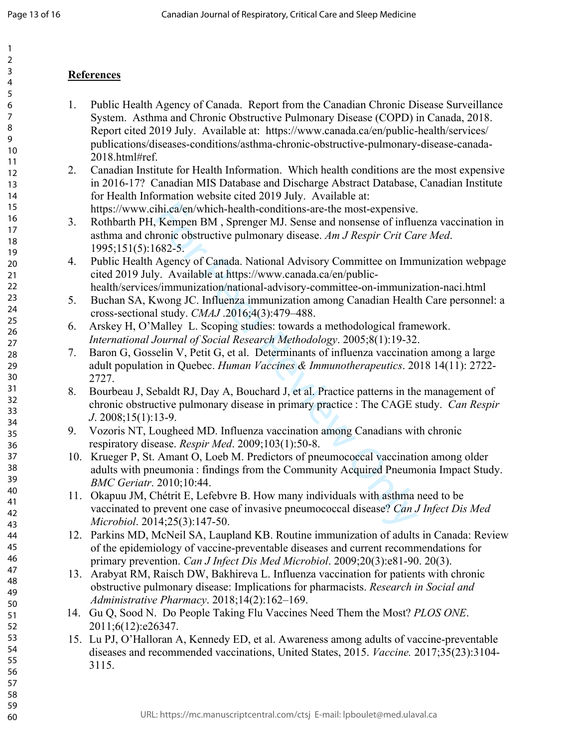10 11

## **References**

- 1. Public Health Agency of Canada. Report from the Canadian Chronic Disease Surveillance System. Asthma and Chronic Obstructive Pulmonary Disease (COPD) in Canada, 2018. Report cited 2019 July. Available at: https://www.canada.ca/en/public-health/services/ publications/diseases-conditions/asthma-chronic-obstructive-pulmonary-disease-canada-2018.html#ref.
- 2. Canadian Institute for Health Information. Which health conditions are the most expensive in 2016-17? Canadian MIS Database and Discharge Abstract Database, Canadian Institute for Health Information website cited 2019 July. Available at: https://www.cihi.ca/en/which-health-conditions-are-the most-expensive.
- ihi.ca/en/which-health-conditions-are-the most-expensive.<br>
Kempen BM, Sprenger MJ. Sense and nonsense of influrencie obstructive pullmonary disease. Am J Respir Crit Ca<br>
682-5.<br>
Agency of Canada. National Advisory Committ 3. Rothbarth PH, Kempen BM , Sprenger MJ. Sense and nonsense of influenza vaccination in asthma and chronic obstructive pulmonary disease. *Am J Respir Crit Care Med*. 1995;151(5):1682-5.
- 4. Public Health Agency of Canada. National Advisory Committee on Immunization webpage cited 2019 July. Available at https://www.canada.ca/en/publichealth/services/immunization/national-advisory-committee-on-immunization-naci.html
- 5. Buchan SA, Kwong JC. Influenza immunization among Canadian Health Care personnel: a cross-sectional study. *CMAJ* .2016;4(3):479–488.
- 6. Arskey H, O'Malley L. Scoping studies: towards a methodological framework. *International Journal of Social Research Methodology*. 2005;8(1):19-32.
- 7. Baron G, Gosselin V, Petit G, et al. Determinants of influenza vaccination among a large adult population in Quebec. *Human Vaccines & Immunotherapeutics*. 2018 14(11): 2722- 2727.
- 8. Bourbeau J, Sebaldt RJ, Day A, Bouchard J, et al. Practice patterns in the management of chronic obstructive pulmonary disease in primary practice : The CAGE study. *Can Respir J*. 2008;15(1):13-9.
- 9. Vozoris NT, Lougheed MD. Influenza vaccination among Canadians with chronic respiratory disease. *Respir Med*. 2009;103(1):50-8.
- 10. Krueger P, St. Amant O, Loeb M. Predictors of pneumococcal vaccination among older adults with pneumonia : findings from the Community Acquired Pneumonia Impact Study. *BMC Geriatr*. 2010;10:44.
- 11. Okapuu JM, Chétrit E, Lefebvre B. How many individuals with asthma need to be vaccinated to prevent one case of invasive pneumococcal disease? *Can J Infect Dis Med Microbiol*. 2014;25(3):147-50.
- 12. Parkins MD, McNeil SA, Laupland KB. Routine immunization of adults in Canada: Review of the epidemiology of vaccine-preventable diseases and current recommendations for primary prevention. *Can J Infect Dis Med Microbiol*. 2009;20(3):e81-90. 20(3).
- 13. Arabyat RM, Raisch DW, Bakhireva L. Influenza vaccination for patients with chronic obstructive pulmonary disease: Implications for pharmacists. *Research in Social and Administrative Pharmacy*. 2018;14(2):162–169.
- 14. Gu Q, Sood N. Do People Taking Flu Vaccines Need Them the Most? *PLOS ONE*. 2011;6(12):e26347.
- 15. Lu PJ, O'Halloran A, Kennedy ED, et al. Awareness among adults of vaccine-preventable diseases and recommended vaccinations, United States, 2015. *Vaccine.* 2017;35(23):3104- 3115.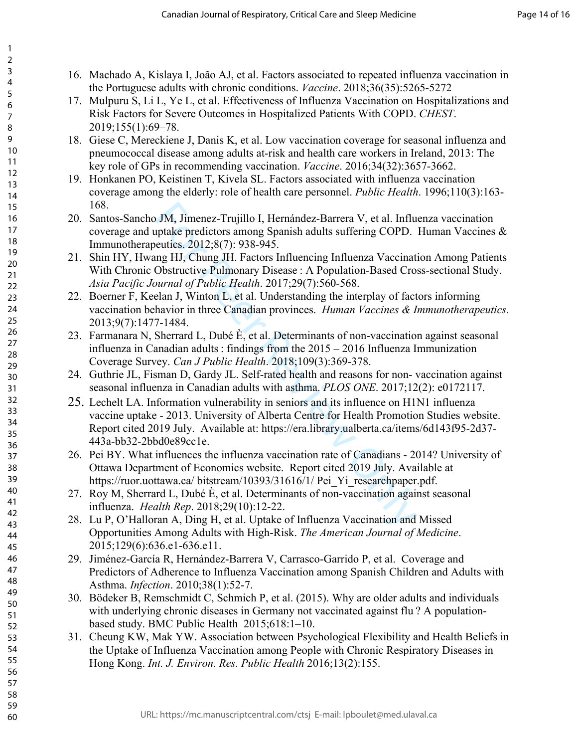16. Machado A, Kislaya I, João AJ, et al. Factors associated to repeated influenza vaccination in the Portuguese adults with chronic conditions. *Vaccine*. 2018;36(35):5265-5272

123456789

 $\mathbf{1}$  $\overline{2}$ 3  $\overline{4}$ 5 6  $\overline{7}$ 8 9

- 17. Mulpuru S, Li L, Ye L, et al. Effectiveness of Influenza Vaccination on Hospitalizations and Risk Factors for Severe Outcomes in Hospitalized Patients With COPD. *CHEST*. 2019;155(1):69–78.
- 18. Giese C, Mereckiene J, Danis K, et al. Low vaccination coverage for seasonal influenza and pneumococcal disease among adults at-risk and health care workers in Ireland, 2013: The key role of GPs in recommending vaccination. *Vaccine* . 2016;34(32):3657-3662.
- 19. Honkanen PO, Keistinen T, Kivela SL. Factors associated with influenza vaccination coverage among the elderly: role of health care personnel. *Public Health*. 1996;110(3):163- 168.
- 20. Santos-Sancho JM, Jimenez-Trujillo I, Hernández-Barrera V, et al. Influenza vaccination coverage and uptake predictors among Spanish adults suffering COPD. Human Vaccines & Immunotherapeutics. 2012;8(7): 938-945.
- 21. Shin HY, Hwang HJ, Chung JH. Factors Influencing Influenza Vaccination Among Patients With Chronic Obstructive Pulmonary Disease : A Population-Based Cross-sectional Study. *Asia Pacific Journal of Public Health*. 2017;29(7):560-568.
- 22. Boerner F, Keelan J, Winton L, et al. Understanding the interplay of factors informing vaccination behavior in three Canadian provinces. *Human Vaccines & Immunotherapeutics.* 2013;9(7):1477-1484.
- 23. Farmanara N, Sherrard L, Dubé È, et al. Determinants of non-vaccination against seasonal influenza in Canadian adults : findings from the 2015 – 2016 Influenza Immunization Coverage Survey. *Can J Public Health*. 2018;109(3):369-378.
- 24. Guthrie JL, Fisman D, Gardy JL. Self-rated health and reasons for non- vaccination against seasonal influenza in Canadian adults with asthma. *PLOS ONE*. 2017;12(2): e0172117.
- JM, Jimenez-Trujillo I, Hernández-Barrera V, et al. Influ<br>uptake predictors among Spanish adults suffering COPD.<br>euties. 2012;8(7): 938-945.<br>Obstructive Pulmonary Disease : A Population-Based Cro:<br>Obstructive Pulmonary Di 25. Lechelt LA. Information vulnerability in seniors and its influence on H1N1 influenza vaccine uptake - 2013. University of Alberta Centre for Health Promotion Studies website. Report cited 2019 July. Available at: https://era.library.ualberta.ca/items/6d143f95-2d37- 443a-bb32-2bbd0e89cc1e.
- 26. Pei BY. What influences the influenza vaccination rate of Canadians 2014? University of Ottawa Department of Economics website. Report cited 2019 July. Available at https://ruor.uottawa.ca/ bitstream/10393/31616/1/ Pei\_Yi\_researchpaper.pdf.
- 27. Roy M, Sherrard L, Dubé È, et al. Determinants of non-vaccination against seasonal influenza. *Health Rep*. 2018;29(10):12-22.
- 28. Lu P, O'Halloran A, Ding H, et al. Uptake of Influenza Vaccination and Missed Opportunities Among Adults with High-Risk. *The American Journal of Medicine*. 2015;129(6):636.e1-636.e11.
- 29. Jiménez-García R, Hernández-Barrera V, Carrasco-Garrido P, et al. Coverage and Predictors of Adherence to Influenza Vaccination among Spanish Children and Adults with Asthma. *Infection*. 2010;38(1):52-7.
- 30. Bödeker B, Remschmidt C, Schmich P, et al. (2015). Why are older adults and individuals with underlying chronic diseases in Germany not vaccinated against flu? A populationbased study. BMC Public Health 2015;618:1–10.
- 31. Cheung KW, Mak YW. Association between Psychological Flexibility and Health Beliefs in the Uptake of Influenza Vaccination among People with Chronic Respiratory Diseases in Hong Kong. *Int. J. Environ. Res. Public Health* 2016;13(2):155.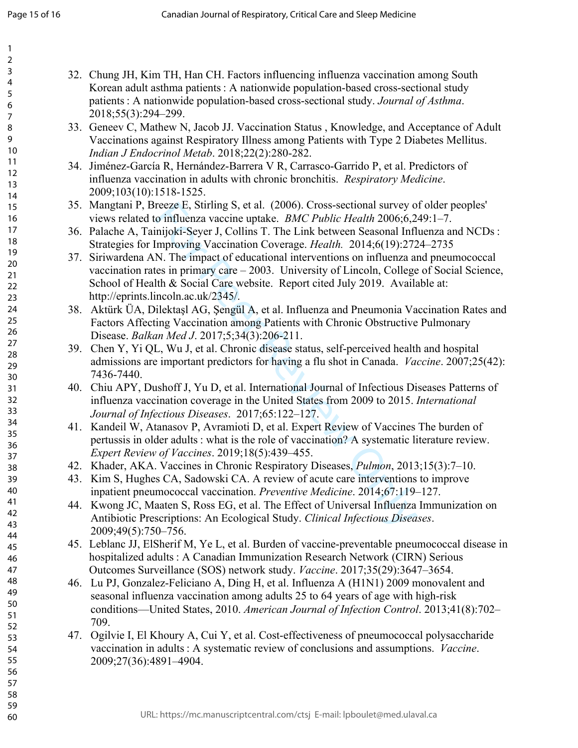| 32. Chung JH, Kim TH, Han CH. Factors influencing influenza vaccination among South<br>Korean adult asthma patients : A nationwide population-based cross-sectional study |
|---------------------------------------------------------------------------------------------------------------------------------------------------------------------------|
| patients: A nationwide population-based cross-sectional study. Journal of Asthma.                                                                                         |
| 2018;55(3):294-299.                                                                                                                                                       |
| 33. Geneev C, Mathew N, Jacob JJ. Vaccination Status, Knowledge, and Acceptance of Adult                                                                                  |
| Vaccinations against Respiratory Illness among Patients with Type 2 Diabetes Mellitus.                                                                                    |
| Indian J Endocrinol Metab. 2018;22(2):280-282.                                                                                                                            |
| 34. Jiménez-García R, Hernández-Barrera V R, Carrasco-Garrido P, et al. Predictors of                                                                                     |
| influenza vaccination in adults with chronic bronchitis. Respiratory Medicine.                                                                                            |
| 2009;103(10):1518-1525.                                                                                                                                                   |
| 35. Mangtani P, Breeze E, Stirling S, et al. (2006). Cross-sectional survey of older peoples'                                                                             |
| views related to influenza vaccine uptake. <i>BMC Public Health</i> 2006;6,249:1–7.                                                                                       |
| 36. Palache A, Tainijoki-Seyer J, Collins T. The Link between Seasonal Influenza and NCDs:                                                                                |
| Strategies for Improving Vaccination Coverage. Health. 2014;6(19):2724-2735                                                                                               |
| 37. Siriwardena AN. The impact of educational interventions on influenza and pneumococcal                                                                                 |
| vaccination rates in primary care – 2003. University of Lincoln, College of Social Science,                                                                               |
| School of Health & Social Care website. Report cited July 2019. Available at:                                                                                             |
| http://eprints.lincoln.ac.uk/2345/.                                                                                                                                       |
| 38. Aktürk ÜA, Dilektaşl AG, Şengül A, et al. Influenza and Pneumonia Vaccination Rates and                                                                               |
| Factors Affecting Vaccination among Patients with Chronic Obstructive Pulmonary                                                                                           |
| Disease. Balkan Med J. 2017;5;34(3):206-211.                                                                                                                              |
| 39. Chen Y, Yi QL, Wu J, et al. Chronic disease status, self-perceived health and hospital                                                                                |
| admissions are important predictors for having a flu shot in Canada. <i>Vaccine</i> . 2007;25(42):                                                                        |
| 7436-7440.                                                                                                                                                                |
| 40. Chiu APY, Dushoff J, Yu D, et al. International Journal of Infectious Diseases Patterns of                                                                            |
| influenza vaccination coverage in the United States from 2009 to 2015. International                                                                                      |
| Journal of Infectious Diseases. 2017;65:122-127.<br>41. Kandeil W, Atanasov P, Avramioti D, et al. Expert Review of Vaccines The burden of                                |
| pertussis in older adults : what is the role of vaccination? A systematic literature review.                                                                              |
| Expert Review of Vaccines. 2019;18(5):439-455.                                                                                                                            |
| 42. Khader, AKA. Vaccines in Chronic Respiratory Diseases, <i>Pulmon</i> , 2013;15(3):7–10.                                                                               |
| 43. Kim S, Hughes CA, Sadowski CA. A review of acute care interventions to improve                                                                                        |
| inpatient pneumococcal vaccination. Preventive Medicine. 2014;67:119-127.                                                                                                 |
| 44. Kwong JC, Maaten S, Ross EG, et al. The Effect of Universal Influenza Immunization on                                                                                 |
| Antibiotic Prescriptions: An Ecological Study. Clinical Infectious Diseases.                                                                                              |
| 2009;49(5):750-756.                                                                                                                                                       |
| 45. Leblanc JJ, ElSherif M, Ye L, et al. Burden of vaccine-preventable pneumococcal disease in                                                                            |
| hospitalized adults: A Canadian Immunization Research Network (CIRN) Serious                                                                                              |
| Outcomes Surveillance (SOS) network study. Vaccine. 2017;35(29):3647-3654.                                                                                                |
| 46. Lu PJ, Gonzalez-Feliciano A, Ding H, et al. Influenza A (H1N1) 2009 monovalent and                                                                                    |
| seasonal influenza vaccination among adults 25 to 64 years of age with high-risk                                                                                          |
| conditions—United States, 2010. American Journal of Infection Control. 2013;41(8):702–                                                                                    |
| 709.                                                                                                                                                                      |
| 47. Ogilvie I, El Khoury A, Cui Y, et al. Cost-effectiveness of pneumococcal polysaccharide                                                                               |
| vaccination in adults : A systematic review of conclusions and assumptions. Vaccine.                                                                                      |
| 2009;27(36):4891-4904.                                                                                                                                                    |
|                                                                                                                                                                           |
|                                                                                                                                                                           |
|                                                                                                                                                                           |
| URL: https://mc.manuscriptcentral.com/ctsj E-mail: lpboulet@med.ulaval.ca                                                                                                 |
|                                                                                                                                                                           |